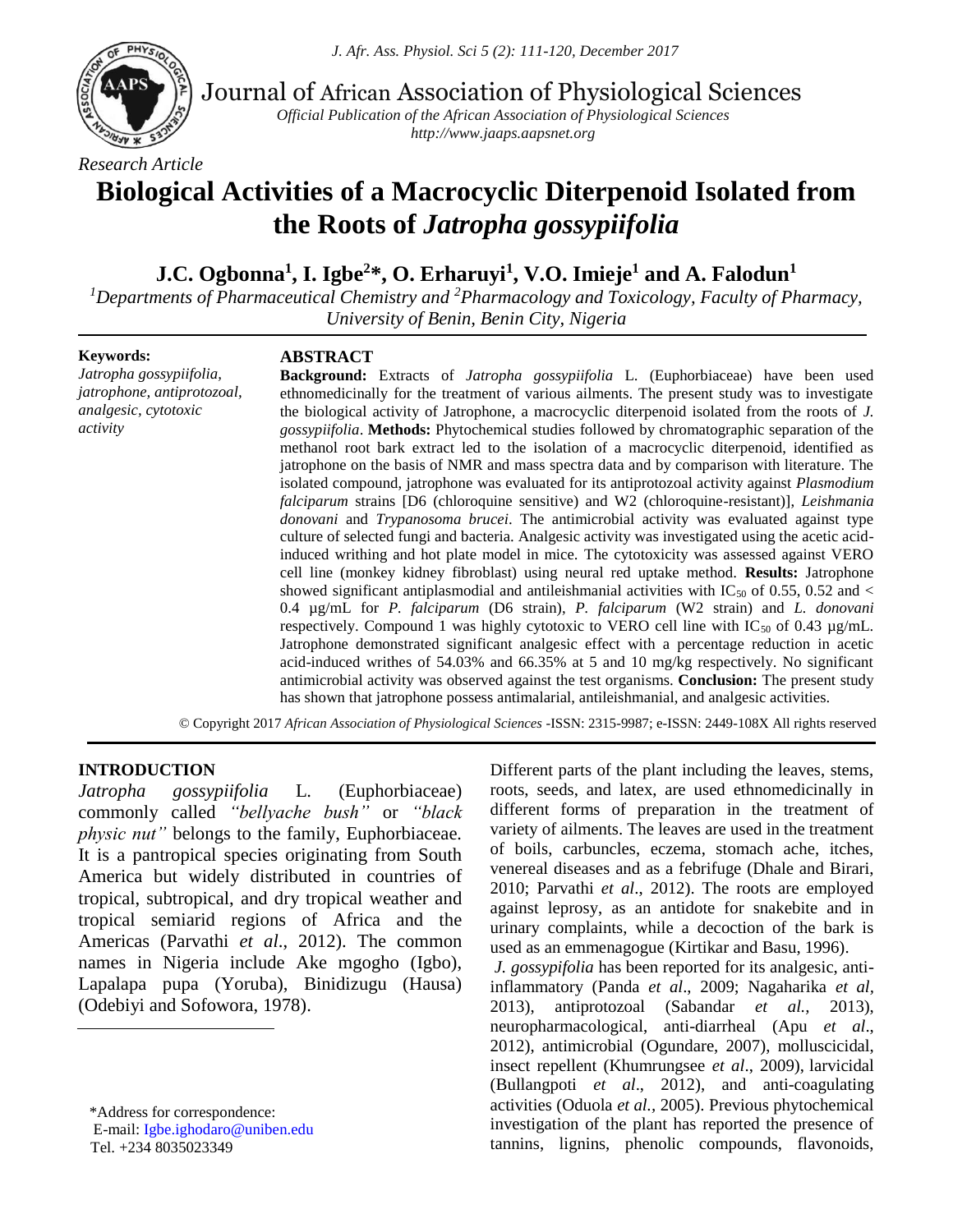

Journal of African Association of Physiological Sciences

*Official Publication of the African Association of Physiological Sciences http://www.jaaps.aapsnet.org*

# **Biological Activities of a Macrocyclic Diterpenoid Isolated from the Roots of** *Jatropha gossypiifolia*

# **J.C. Ogbonna<sup>1</sup> , I. Igbe<sup>2</sup>\*, O. Erharuyi<sup>1</sup> , V.O. Imieje<sup>1</sup> and A. Falodun<sup>1</sup>**

*<sup>1</sup>Departments of Pharmaceutical Chemistry and <sup>2</sup>Pharmacology and Toxicology, Faculty of Pharmacy, University of Benin, Benin City, Nigeria*

#### **Keywords:**

*Jatropha gossypiifolia, jatrophone, antiprotozoal, analgesic, cytotoxic activity*

#### **ABSTRACT**

**Background:** Extracts of *Jatropha gossypiifolia* L. (Euphorbiaceae) have been used ethnomedicinally for the treatment of various ailments. The present study was to investigate the biological activity of Jatrophone, a macrocyclic diterpenoid isolated from the roots of *J. gossypiifolia*. **Methods:** Phytochemical studies followed by chromatographic separation of the methanol root bark extract led to the isolation of a macrocyclic diterpenoid, identified as jatrophone on the basis of NMR and mass spectra data and by comparison with literature. The isolated compound, jatrophone was evaluated for its antiprotozoal activity against *Plasmodium falciparum* strains [D6 (chloroquine sensitive) and W2 (chloroquine-resistant)], *Leishmania donovani* and *Trypanosoma brucei*. The antimicrobial activity was evaluated against type culture of selected fungi and bacteria. Analgesic activity was investigated using the acetic acidinduced writhing and hot plate model in mice. The cytotoxicity was assessed against VERO cell line (monkey kidney fibroblast) using neural red uptake method. **Results:** Jatrophone showed significant antiplasmodial and antileishmanial activities with IC<sub>50</sub> of 0.55, 0.52 and < 0.4 µg/mL for *P. falciparum* (D6 strain), *P. falciparum* (W2 strain) and *L. donovani* respectively. Compound 1 was highly cytotoxic to VERO cell line with  $IC_{50}$  of 0.43  $\mu$ g/mL. Jatrophone demonstrated significant analgesic effect with a percentage reduction in acetic acid-induced writhes of 54.03% and 66.35% at 5 and 10 mg/kg respectively. No significant antimicrobial activity was observed against the test organisms. **Conclusion:** The present study has shown that jatrophone possess antimalarial, antileishmanial, and analgesic activities.

© Copyright 2017 *African Association of Physiological Sciences* -ISSN: 2315-9987; e-ISSN: 2449-108X All rights reserved

#### **INTRODUCTION**

*Jatropha gossypiifolia* L. (Euphorbiaceae) commonly called *"bellyache bush"* or *"black physic nut"* belongs to the family, Euphorbiaceae*.*  It is a pantropical species originating from South America but widely distributed in countries of tropical, subtropical, and dry tropical weather and tropical semiarid regions of Africa and the Americas (Parvathi *et al*., 2012). The common names in Nigeria include Ake mgogho (Igbo), Lapalapa pupa (Yoruba), Binidizugu (Hausa) (Odebiyi and Sofowora, 1978).

Different parts of the plant including the leaves, stems, roots, seeds, and latex, are used ethnomedicinally in different forms of preparation in the treatment of variety of ailments. The leaves are used in the treatment of boils, carbuncles, eczema, stomach ache, itches, venereal diseases and as a febrifuge (Dhale and Birari, 2010; Parvathi *et al*., 2012). The roots are employed against leprosy, as an antidote for snakebite and in urinary complaints, while a decoction of the bark is used as an emmenagogue (Kirtikar and Basu, 1996). *J. gossypifolia* has been reported for its analgesic, anti-

inflammatory (Panda *et al*., 2009; Nagaharika *et al,* 2013), antiprotozoal (Sabandar *et al.,* 2013), neuropharmacological, anti-diarrheal (Apu *et al*., 2012), antimicrobial (Ogundare, 2007), molluscicidal, insect repellent (Khumrungsee *et al*., 2009), larvicidal (Bullangpoti *et al*., 2012), and anti-coagulating activities (Oduola *et al.,* 2005). Previous phytochemical investigation of the plant has reported the presence of tannins, lignins, phenolic compounds, flavonoids,

<sup>\*</sup>Address for correspondence: E-mail: [Igbe.ighodaro@uniben.edu](mailto:Igbe.ighodaro@uniben.edu) Tel. +234 8035023349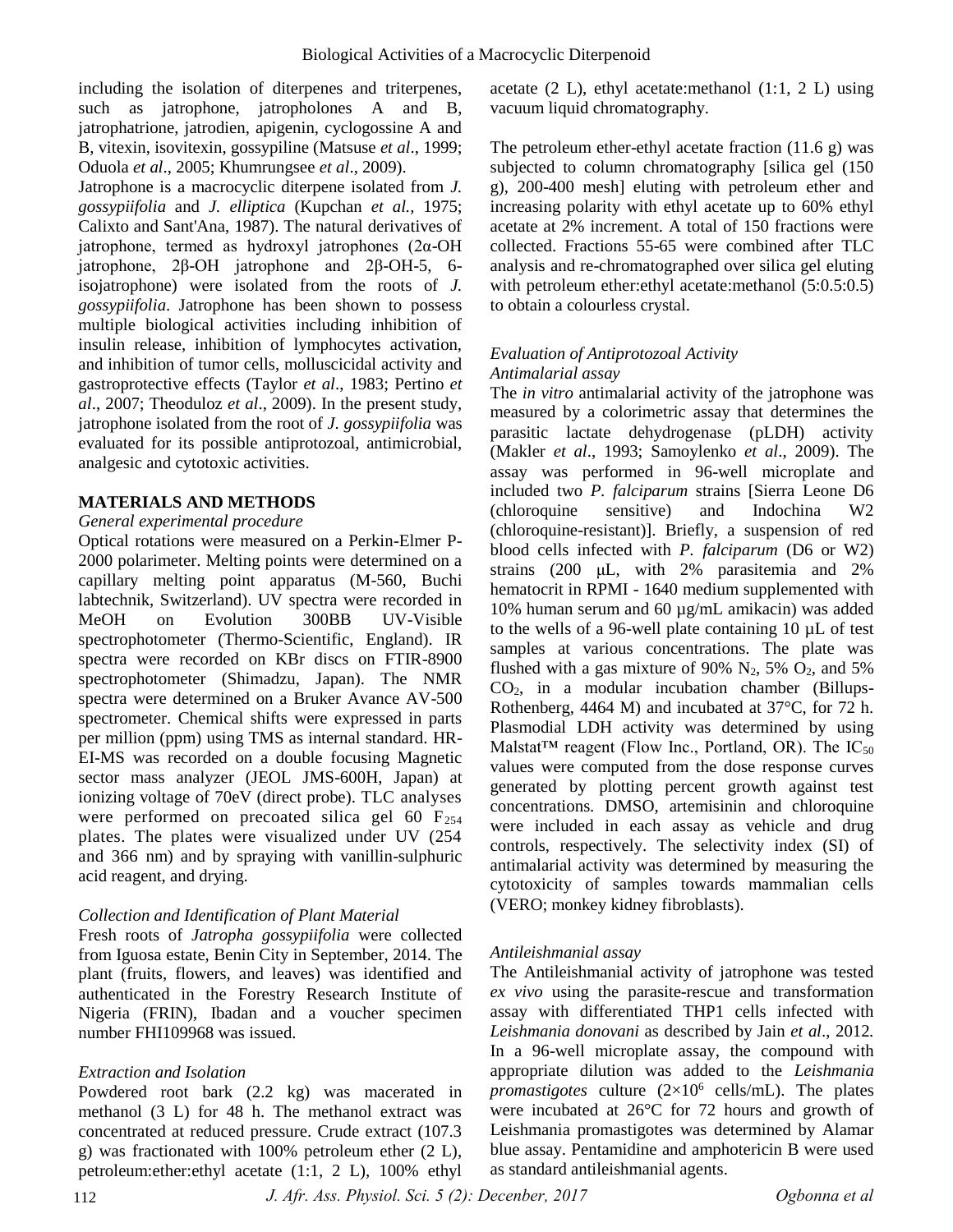including the isolation of diterpenes and triterpenes, such as jatrophone, jatropholones A and B, jatrophatrione, jatrodien, apigenin, cyclogossine A and B, vitexin, isovitexin, gossypiline (Matsuse *et al*., 1999; Oduola *et al*., 2005; Khumrungsee *et al*., 2009).

Jatrophone is a macrocyclic diterpene isolated from *J. gossypiifolia* and *J. elliptica* (Kupchan *et al.,* 1975; Calixto and Sant'Ana, 1987). The natural derivatives of jatrophone, termed as hydroxyl jatrophones (2α-OH jatrophone, 2β-OH jatrophone and 2β-OH-5, 6 isojatrophone) were isolated from the roots of *J. gossypiifolia*. Jatrophone has been shown to possess multiple biological activities including inhibition of insulin release, inhibition of lymphocytes activation, and inhibition of tumor cells, molluscicidal activity and gastroprotective effects (Taylor *et al*., 1983; Pertino *et al*., 2007; Theoduloz *et al*., 2009). In the present study, jatrophone isolated from the root of *J. gossypiifolia* was evaluated for its possible antiprotozoal, antimicrobial, analgesic and cytotoxic activities.

# **MATERIALS AND METHODS**

#### *General experimental procedure*

Optical rotations were measured on a Perkin-Elmer P-2000 polarimeter. Melting points were determined on a capillary melting point apparatus (M-560, Buchi labtechnik, Switzerland). UV spectra were recorded in MeOH on Evolution 300BB UV-Visible spectrophotometer (Thermo-Scientific, England). IR spectra were recorded on KBr discs on FTIR-8900 spectrophotometer (Shimadzu, Japan). The NMR spectra were determined on a Bruker Avance AV-500 spectrometer. Chemical shifts were expressed in parts per million (ppm) using TMS as internal standard. HR-EI-MS was recorded on a double focusing Magnetic sector mass analyzer (JEOL JMS-600H, Japan) at ionizing voltage of 70eV (direct probe). TLC analyses were performed on precoated silica gel  $60 F_{254}$ plates. The plates were visualized under UV (254 and 366 nm) and by spraying with vanillin-sulphuric acid reagent, and drying.

# *Collection and Identification of Plant Material*

Fresh roots of *Jatropha gossypiifolia* were collected from Iguosa estate, Benin City in September, 2014. The plant (fruits, flowers, and leaves) was identified and authenticated in the Forestry Research Institute of Nigeria (FRIN), Ibadan and a voucher specimen number FHI109968 was issued.

#### *Extraction and Isolation*

Powdered root bark (2.2 kg) was macerated in methanol (3 L) for 48 h. The methanol extract was concentrated at reduced pressure. Crude extract (107.3 g) was fractionated with 100% petroleum ether (2 L), petroleum:ether:ethyl acetate (1:1, 2 L), 100% ethyl

acetate  $(2 L)$ , ethyl acetate: methanol  $(1:1, 2 L)$  using vacuum liquid chromatography.

The petroleum ether-ethyl acetate fraction (11.6 g) was subjected to column chromatography [silica gel (150 g), 200-400 mesh] eluting with petroleum ether and increasing polarity with ethyl acetate up to 60% ethyl acetate at 2% increment. A total of 150 fractions were collected. Fractions 55-65 were combined after TLC analysis and re-chromatographed over silica gel eluting with petroleum ether: ethyl acetate: methanol (5:0.5:0.5) to obtain a colourless crystal.

#### *Evaluation of Antiprotozoal Activity Antimalarial assay*

The *in vitro* antimalarial activity of the jatrophone was measured by a colorimetric assay that determines the parasitic lactate dehydrogenase (pLDH) activity (Makler *et al*., 1993; Samoylenko *et al*., 2009). The assay was performed in 96-well microplate and included two *P. falciparum* strains [Sierra Leone D6 (chloroquine sensitive) and Indochina W2 (chloroquine-resistant)]. Briefly, a suspension of red blood cells infected with *P. falciparum* (D6 or W2) strains (200 μL, with 2% parasitemia and 2% hematocrit in RPMI - 1640 medium supplemented with 10% human serum and 60 µg/mL amikacin) was added to the wells of a 96-well plate containing 10 µL of test samples at various concentrations. The plate was flushed with a gas mixture of 90%  $N_2$ , 5%  $O_2$ , and 5% CO2, in a modular incubation chamber (Billups-Rothenberg, 4464 M) and incubated at 37°C, for 72 h. Plasmodial LDH activity was determined by using Malstat<sup>TM</sup> reagent (Flow Inc., Portland, OR). The  $IC_{50}$ values were computed from the dose response curves generated by plotting percent growth against test concentrations. DMSO, artemisinin and chloroquine were included in each assay as vehicle and drug controls, respectively. The selectivity index (SI) of antimalarial activity was determined by measuring the cytotoxicity of samples towards mammalian cells (VERO; monkey kidney fibroblasts).

#### *Antileishmanial assay*

The Antileishmanial activity of jatrophone was tested *ex vivo* using the parasite-rescue and transformation assay with differentiated THP1 cells infected with *Leishmania donovani* as described by Jain *et al*., 2012*.* In a 96-well microplate assay, the compound with appropriate dilution was added to the *Leishmania promastigotes* culture  $(2\times10^6 \text{ cells/mL})$ . The plates were incubated at 26°C for 72 hours and growth of Leishmania promastigotes was determined by Alamar blue assay. Pentamidine and amphotericin B were used as standard antileishmanial agents.

*J. Afr. Ass. Physiol. Sci. 5 (2): Decenber, 2017 Ogbonna et al*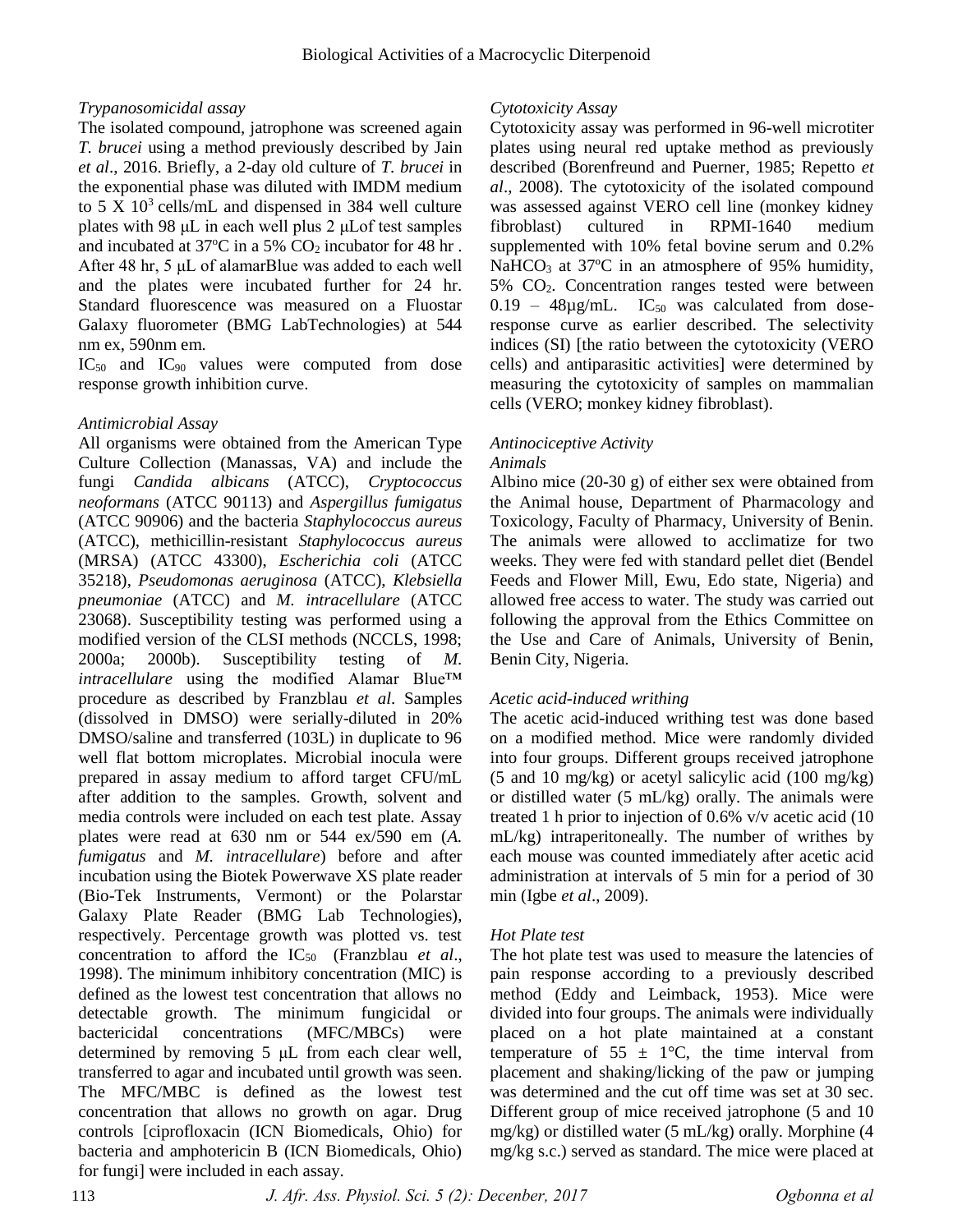# *Trypanosomicidal assay*

The isolated compound, jatrophone was screened again *T. brucei* using a method previously described by Jain *et al*., 2016. Briefly, a 2-day old culture of *T. brucei* in the exponential phase was diluted with IMDM medium to  $5 \text{ X } 10^3 \text{ cells/mL}$  and dispensed in 384 well culture plates with 98 μL in each well plus 2 μLof test samples and incubated at  $37^{\circ}$ C in a 5% CO<sub>2</sub> incubator for 48 hr. After 48 hr, 5 μL of alamarBlue was added to each well and the plates were incubated further for 24 hr. Standard fluorescence was measured on a Fluostar Galaxy fluorometer (BMG LabTechnologies) at 544 nm ex, 590nm em.

IC<sub>50</sub> and IC<sub>90</sub> values were computed from dose response growth inhibition curve.

# *Antimicrobial Assay*

All organisms were obtained from the American Type Culture Collection (Manassas, VA) and include the fungi *Candida albicans* (ATCC), *Cryptococcus neoformans* (ATCC 90113) and *Aspergillus fumigatus* (ATCC 90906) and the bacteria *Staphylococcus aureus* (ATCC), methicillin-resistant *Staphylococcus aureus* (MRSA) (ATCC 43300), *Escherichia coli* (ATCC 35218), *Pseudomonas aeruginosa* (ATCC), *Klebsiella pneumoniae* (ATCC) and *M. intracellulare* (ATCC 23068). Susceptibility testing was performed using a modified version of the CLSI methods (NCCLS, 1998; 2000a; 2000b). Susceptibility testing of *M. intracellulare* using the modified Alamar Blue™ procedure as described by Franzblau *et al*. Samples (dissolved in DMSO) were serially-diluted in 20% DMSO/saline and transferred (103L) in duplicate to 96 well flat bottom microplates. Microbial inocula were prepared in assay medium to afford target CFU/mL after addition to the samples. Growth, solvent and media controls were included on each test plate. Assay plates were read at 630 nm or 544 ex/590 em (*A. fumigatus* and *M. intracellulare*) before and after incubation using the Biotek Powerwave XS plate reader (Bio-Tek Instruments, Vermont) or the Polarstar Galaxy Plate Reader (BMG Lab Technologies), respectively. Percentage growth was plotted vs. test concentration to afford the IC<sub>50</sub> (Franzblau *et al.*, 1998). The minimum inhibitory concentration (MIC) is defined as the lowest test concentration that allows no detectable growth. The minimum fungicidal or bactericidal concentrations (MFC/MBCs) were determined by removing 5 μL from each clear well, transferred to agar and incubated until growth was seen. The MFC/MBC is defined as the lowest test concentration that allows no growth on agar. Drug controls [ciprofloxacin (ICN Biomedicals, Ohio) for bacteria and amphotericin B (ICN Biomedicals, Ohio) for fungi] were included in each assay.

# *Cytotoxicity Assay*

Cytotoxicity assay was performed in 96-well microtiter plates using neural red uptake method as previously described (Borenfreund and Puerner, 1985; Repetto *et al*., 2008). The cytotoxicity of the isolated compound was assessed against VERO cell line (monkey kidney fibroblast) cultured in RPMI-1640 medium supplemented with 10% fetal bovine serum and 0.2% NaHCO<sub>3</sub> at  $37^{\circ}$ C in an atmosphere of 95% humidity, 5% CO2. Concentration ranges tested were between  $0.19 - 48\mu g/mL$ . IC<sub>50</sub> was calculated from doseresponse curve as earlier described. The selectivity indices (SI) [the ratio between the cytotoxicity (VERO cells) and antiparasitic activities] were determined by measuring the cytotoxicity of samples on mammalian cells (VERO; monkey kidney fibroblast).

# *Antinociceptive Activity*

#### *Animals*

Albino mice (20-30 g) of either sex were obtained from the Animal house, Department of Pharmacology and Toxicology, Faculty of Pharmacy, University of Benin. The animals were allowed to acclimatize for two weeks. They were fed with standard pellet diet (Bendel Feeds and Flower Mill, Ewu, Edo state, Nigeria) and allowed free access to water. The study was carried out following the approval from the Ethics Committee on the Use and Care of Animals, University of Benin, Benin City, Nigeria.

# *Acetic acid-induced writhing*

The acetic acid-induced writhing test was done based on a modified method. Mice were randomly divided into four groups. Different groups received jatrophone (5 and 10 mg/kg) or acetyl salicylic acid (100 mg/kg) or distilled water (5 mL/kg) orally. The animals were treated 1 h prior to injection of 0.6% v/v acetic acid (10 mL/kg) intraperitoneally. The number of writhes by each mouse was counted immediately after acetic acid administration at intervals of 5 min for a period of 30 min (Igbe *et al*., 2009).

# *Hot Plate test*

The hot plate test was used to measure the latencies of pain response according to a previously described method (Eddy and Leimback, 1953). Mice were divided into four groups. The animals were individually placed on a hot plate maintained at a constant temperature of  $55 \pm 1$ °C, the time interval from placement and shaking/licking of the paw or jumping was determined and the cut off time was set at 30 sec. Different group of mice received jatrophone (5 and 10 mg/kg) or distilled water (5 mL/kg) orally. Morphine (4 mg/kg s.c.) served as standard. The mice were placed at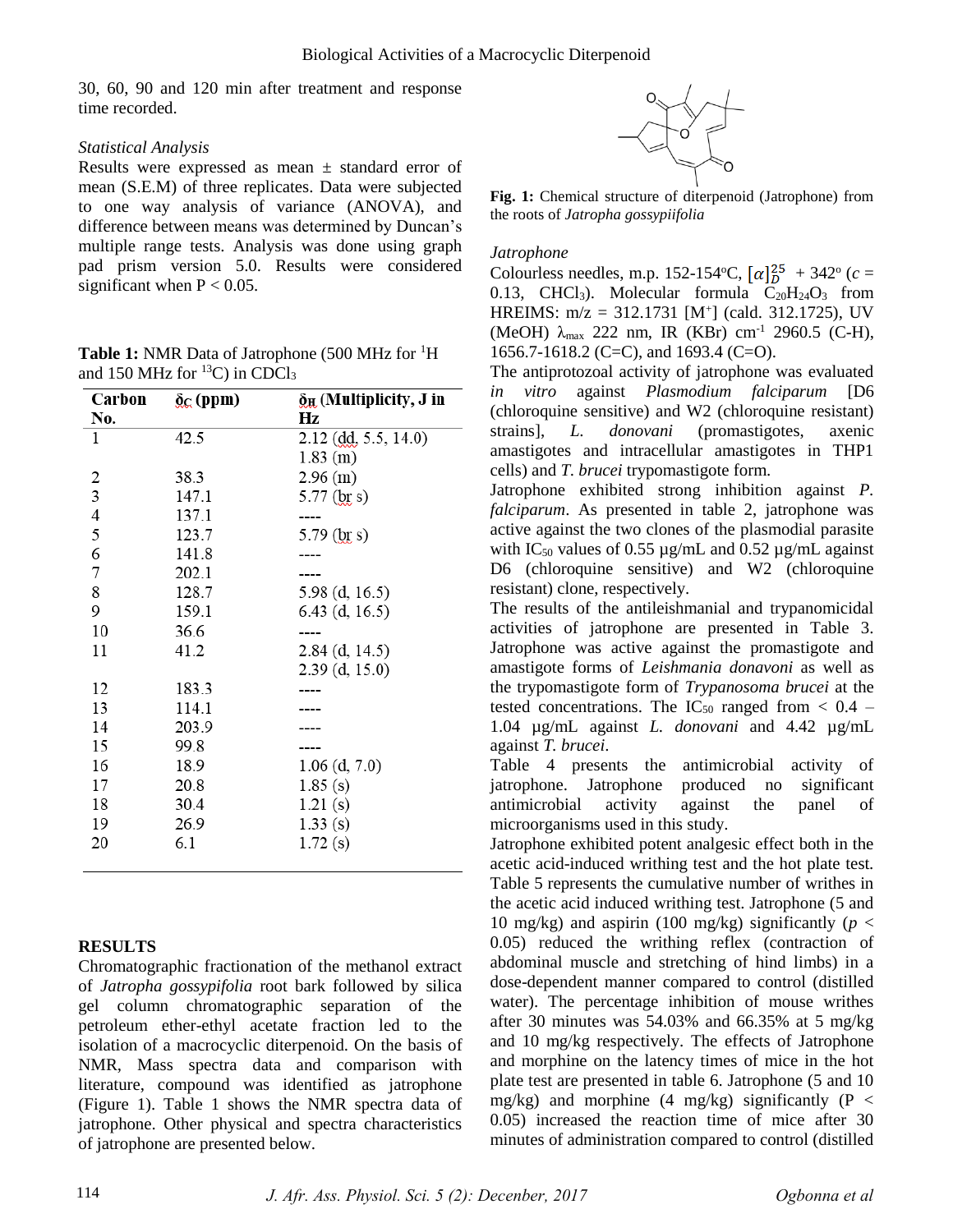30, 60, 90 and 120 min after treatment and response time recorded.

#### *Statistical Analysis*

Results were expressed as mean  $\pm$  standard error of mean (S.E.M) of three replicates. Data were subjected to one way analysis of variance (ANOVA), and difference between means was determined by Duncan's multiple range tests. Analysis was done using graph pad prism version 5.0. Results were considered significant when  $P < 0.05$ .

**Table 1:** NMR Data of Jatrophone (500 MHz for <sup>1</sup>H) and 150 MHz for  $^{13}$ C) in CDCl<sub>3</sub>

| Carbon         | $\delta_{\rm C}$ (ppm) | $\delta_{\rm H}$ (Multiplicity, J in |
|----------------|------------------------|--------------------------------------|
| No.            |                        | Hz                                   |
| 1              | 42.5                   | $2.12$ (dd, 5.5, 14.0)               |
|                |                        | $1.83$ (m)                           |
| 2              | 38.3                   | 2.96 (m)                             |
| $\overline{3}$ | 147.1                  | $5.77$ (br s)                        |
| $\overline{4}$ | 137.1                  | ----                                 |
| 5              | 123.7                  | 5.79 $(b)$ s)                        |
| 6              | 141.8                  |                                      |
| 7              | 202.1                  |                                      |
| 8              | 128.7                  | $5.98$ (d, 16.5)                     |
| 9              | 159.1                  | $6.43$ (d, 16.5)                     |
| 10             | 36.6                   | ----                                 |
| 11             | 41.2                   | $2.84$ (d, 14.5)                     |
|                |                        | $2.39$ (d, 15.0)                     |
| 12             | 183.3                  |                                      |
| 13             | 114.1                  |                                      |
| 14             | 203.9                  |                                      |
| 15             | 99.8                   |                                      |
| 16             | 18.9                   | $1.06$ (d, 7.0)                      |
| 17             | 20.8                   | 1.85(s)                              |
| 18             | 30.4                   | 1.21(s)                              |
| 19             | 26.9                   | 1.33(s)                              |
| 20             | 6.1                    | 1.72(s)                              |
|                |                        |                                      |

#### **RESULTS**

Chromatographic fractionation of the methanol extract of *Jatropha gossypifolia* root bark followed by silica gel column chromatographic separation of the petroleum ether-ethyl acetate fraction led to the isolation of a macrocyclic diterpenoid. On the basis of NMR, Mass spectra data and comparison with literature, compound was identified as jatrophone (Figure 1). Table 1 shows the NMR spectra data of jatrophone. Other physical and spectra characteristics of jatrophone are presented below.



**Fig. 1:** Chemical structure of diterpenoid (Jatrophone) from the roots of *Jatropha gossypiifolia*

#### *Jatrophone*

Colourless needles, m.p. 152-154°C,  $\left[\alpha\right]_D^{25} + 342$ ° (*c* = 0.13, CHCl<sub>3</sub>). Molecular formula  $C_{20}H_{24}O_3$  from HREIMS:  $m/z = 312.1731$  [M<sup>+</sup>] (cald. 312.1725), UV (MeOH)  $λ_{max}$  222 nm, IR (KBr) cm<sup>-1</sup> 2960.5 (C-H), 1656.7-1618.2 (C=C), and 1693.4 (C=O).

The antiprotozoal activity of jatrophone was evaluated *in vitro* against *Plasmodium falciparum* [D6 (chloroquine sensitive) and W2 (chloroquine resistant) strains], *L. donovani* (promastigotes, axenic amastigotes and intracellular amastigotes in THP1 cells) and *T. brucei* trypomastigote form.

Jatrophone exhibited strong inhibition against *P. falciparum*. As presented in table 2, jatrophone was active against the two clones of the plasmodial parasite with IC<sub>50</sub> values of 0.55  $\mu$ g/mL and 0.52  $\mu$ g/mL against D6 (chloroquine sensitive) and W2 (chloroquine resistant) clone, respectively.

The results of the antileishmanial and trypanomicidal activities of jatrophone are presented in Table 3. Jatrophone was active against the promastigote and amastigote forms of *Leishmania donavoni* as well as the trypomastigote form of *Trypanosoma brucei* at the tested concentrations. The IC<sub>50</sub> ranged from  $< 0.4$  – 1.04 µg/mL against *L. donovani* and 4.42 µg/mL against *T. brucei*.

Table 4 presents the antimicrobial activity of jatrophone. Jatrophone produced no significant antimicrobial activity against the panel of microorganisms used in this study.

Jatrophone exhibited potent analgesic effect both in the acetic acid-induced writhing test and the hot plate test. Table 5 represents the cumulative number of writhes in the acetic acid induced writhing test. Jatrophone (5 and 10 mg/kg) and aspirin (100 mg/kg) significantly ( $p <$ 0.05) reduced the writhing reflex (contraction of abdominal muscle and stretching of hind limbs) in a dose-dependent manner compared to control (distilled water). The percentage inhibition of mouse writhes after 30 minutes was 54.03% and 66.35% at 5 mg/kg and 10 mg/kg respectively. The effects of Jatrophone and morphine on the latency times of mice in the hot plate test are presented in table 6. Jatrophone (5 and 10 mg/kg) and morphine  $(4 \text{ mg/kg})$  significantly  $(P \leq$ 0.05) increased the reaction time of mice after 30 minutes of administration compared to control (distilled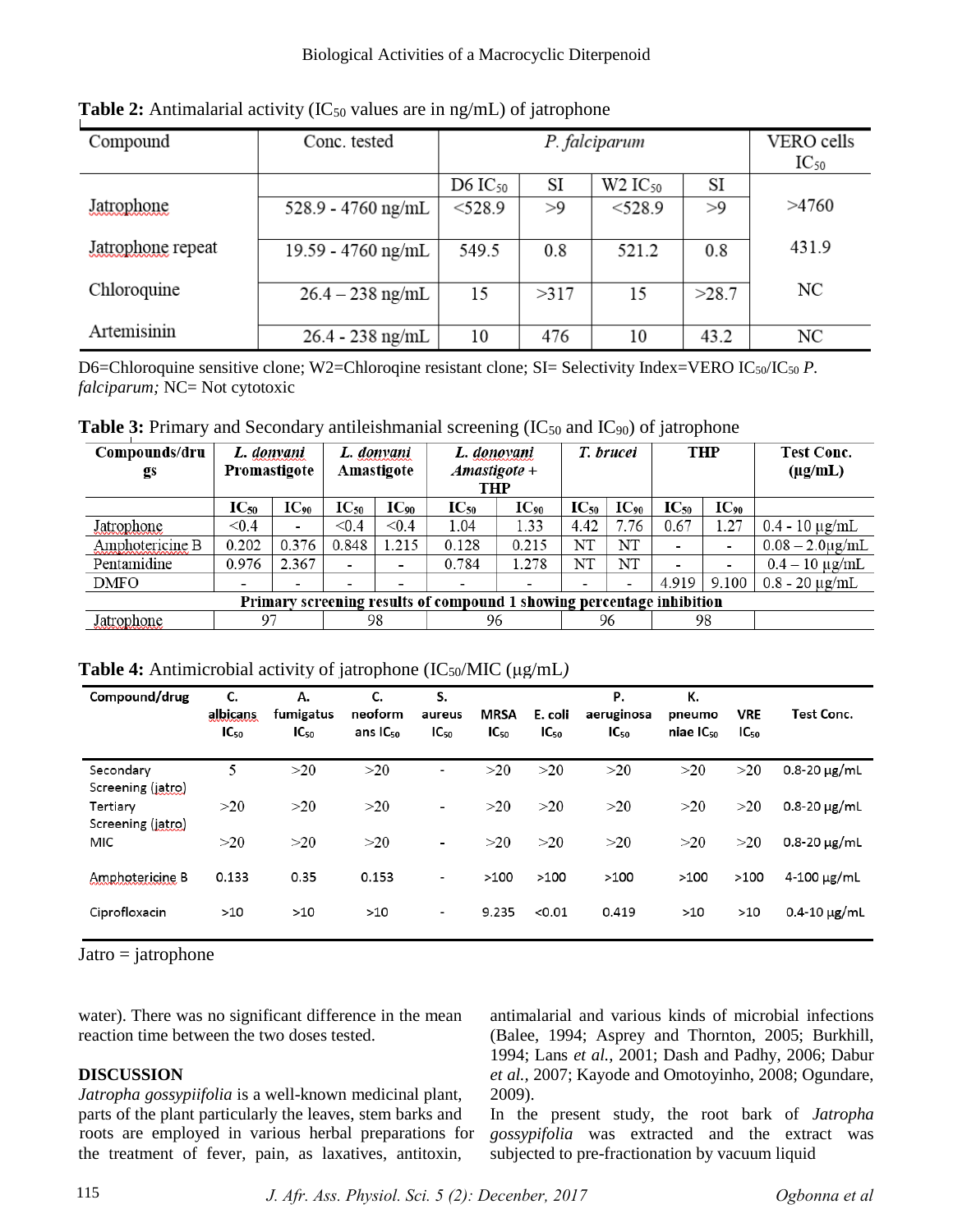| Compound          | Conc. tested       |              | VERO cells<br>$IC_{50}$ |                       |       |       |
|-------------------|--------------------|--------------|-------------------------|-----------------------|-------|-------|
|                   |                    | D6 $IC_{50}$ | SI                      | $W2$ IC <sub>50</sub> | SI    |       |
| Jatrophone        | 528.9 - 4760 ng/mL | $<$ 528.9    | >9                      | $<$ 528.9             | >9    | >4760 |
| Jatrophone repeat | 19.59 - 4760 ng/mL | 549.5        | 0.8                     | 521.2                 | 0.8   | 431.9 |
| Chloroquine       | $26.4 - 238$ ng/mL | 15           | >317                    | 15                    | >28.7 | NC    |
| Artemisinin       | $26.4 - 238$ ng/mL | 10           | 476                     | 10                    | 43.2  | NC    |

**Table 2:** Antimalarial activity ( $IC_{50}$  values are in ng/mL) of jatrophone

D6=Chloroquine sensitive clone; W2=Chloroqine resistant clone; SI= Selectivity Index=VERO IC<sub>50</sub>/IC<sub>50</sub> *P*. *falciparum; NC*= Not cytotoxic

**Table 3:** Primary and Secondary antileishmanial screening (IC<sub>50</sub> and IC<sub>90</sub>) of jatrophone

| Compounds/dru<br>gs                                                   | L. donyani<br>Promastigote |                    | L. donvani<br>Amastigote |           | L. donovani<br>$Amastigote +$<br>THP |           | T. brucei |                    | <b>THP</b> |                 | <b>Test Conc.</b><br>$(\mu g/mL)$ |
|-----------------------------------------------------------------------|----------------------------|--------------------|--------------------------|-----------|--------------------------------------|-----------|-----------|--------------------|------------|-----------------|-----------------------------------|
|                                                                       | $IC_{50}$                  | $\mathbf{IC}_{90}$ | $IC_{50}$                | $IC_{90}$ | $IC_{50}$                            | $IC_{90}$ | $IC_{50}$ | $\mathbf{IC}_{90}$ | $IC_{50}$  | $IC_{\omega_0}$ |                                   |
| Jatrophone                                                            | < 0.4                      | $\blacksquare$     | < 0.4                    | < 0.4     | 1.04                                 | 1.33      | 4.42      | 7.76               | 0.67       | 1.27            | $0.4 - 10 \mu$ g/mL               |
| Amphotericine B                                                       | 0.202                      | 0.376              | 0.848                    | 1.215     | 0.128                                | 0.215     | NT        | NT                 |            |                 | $0.08 - 2.0 \mu$ g/mL             |
| Pentamidine                                                           | 0.976                      | 2.367              |                          |           | 0.784                                | 1.278     | NT        | NT                 |            |                 | $0.4 - 10 \mu g/mL$               |
| DMFO                                                                  |                            | -                  |                          |           |                                      |           |           | -                  | 4.919      | 9.100           | $0.8 - 20 \mu g/mL$               |
| Primary screening results of compound 1 showing percentage inhibition |                            |                    |                          |           |                                      |           |           |                    |            |                 |                                   |
| Jatrophone                                                            | 97                         |                    | 98                       |           | 96                                   |           | 96        |                    | 98         |                 |                                   |

**Table 4:** Antimicrobial activity of jatrophone (IC50/MIC (μg/mL*)*

| Compound/drug                  | С.<br>albicans<br>$IC_{50}$ | А.<br>fumigatus<br>$IC_{50}$ | C.<br>neoform<br>ans $IC_{50}$ | S.<br>aureus<br>$IC_{50}$ | <b>MRSA</b><br>$IC_{50}$ | E. coli<br>$IC_{50}$ | Р.<br>aeruginosa<br>$IC_{50}$ | К.<br>pneumo<br>niae IC <sub>50</sub> | <b>VRE</b><br>$IC_{50}$ | Test Conc.          |
|--------------------------------|-----------------------------|------------------------------|--------------------------------|---------------------------|--------------------------|----------------------|-------------------------------|---------------------------------------|-------------------------|---------------------|
| Secondary<br>Screening (jatro) | 5                           | >20                          | >20                            | ۰                         | >20                      | >20                  | >20                           | >20                                   | >20                     | $0.8 - 20 \mu$ g/mL |
| Tertiary<br>Screening (jatro)  | >20                         | >20                          | >20                            | $\overline{\phantom{a}}$  | >20                      | >20                  | >20                           | >20                                   | >20                     | $0.8 - 20 \mu$ g/mL |
| MIC                            | >20                         | >20                          | >20                            | $\overline{\phantom{a}}$  | >20                      | >20                  | >20                           | >20                                   | >20                     | $0.8 - 20 \mu$ g/mL |
| Amphotericine B                | 0.133                       | 0.35                         | 0.153                          | $\blacksquare$            | >100                     | >100                 | >100                          | >100                                  | >100                    | $4 - 100 \mu g/mL$  |
| Ciprofloxacin                  | $>10$                       | >10                          | >10                            | $\blacksquare$            | 9.235                    | < 0.01               | 0.419                         | >10                                   | >10                     | $0.4 - 10 \mu g/mL$ |

 $Jatro = jatrophone$ 

water). There was no significant difference in the mean reaction time between the two doses tested.

# **DISCUSSION**

*Jatropha gossypiifolia* is a well-known medicinal plant, parts of the plant particularly the leaves, stem barks and the treatment of fever, pain, as laxatives, antitoxin, roots are employed in various herbal preparations for antimalarial and various kinds of microbial infections (Balee, 1994; Asprey and Thornton, 2005; Burkhill, 1994; Lans *et al.,* 2001; Dash and Padhy, 2006; Dabur *et al.,* 2007; Kayode and Omotoyinho, 2008; Ogundare, 2009).

In the present study, the root bark of *Jatropha gossypifolia* was extracted and the extract was subjected to pre-fractionation by vacuum liquid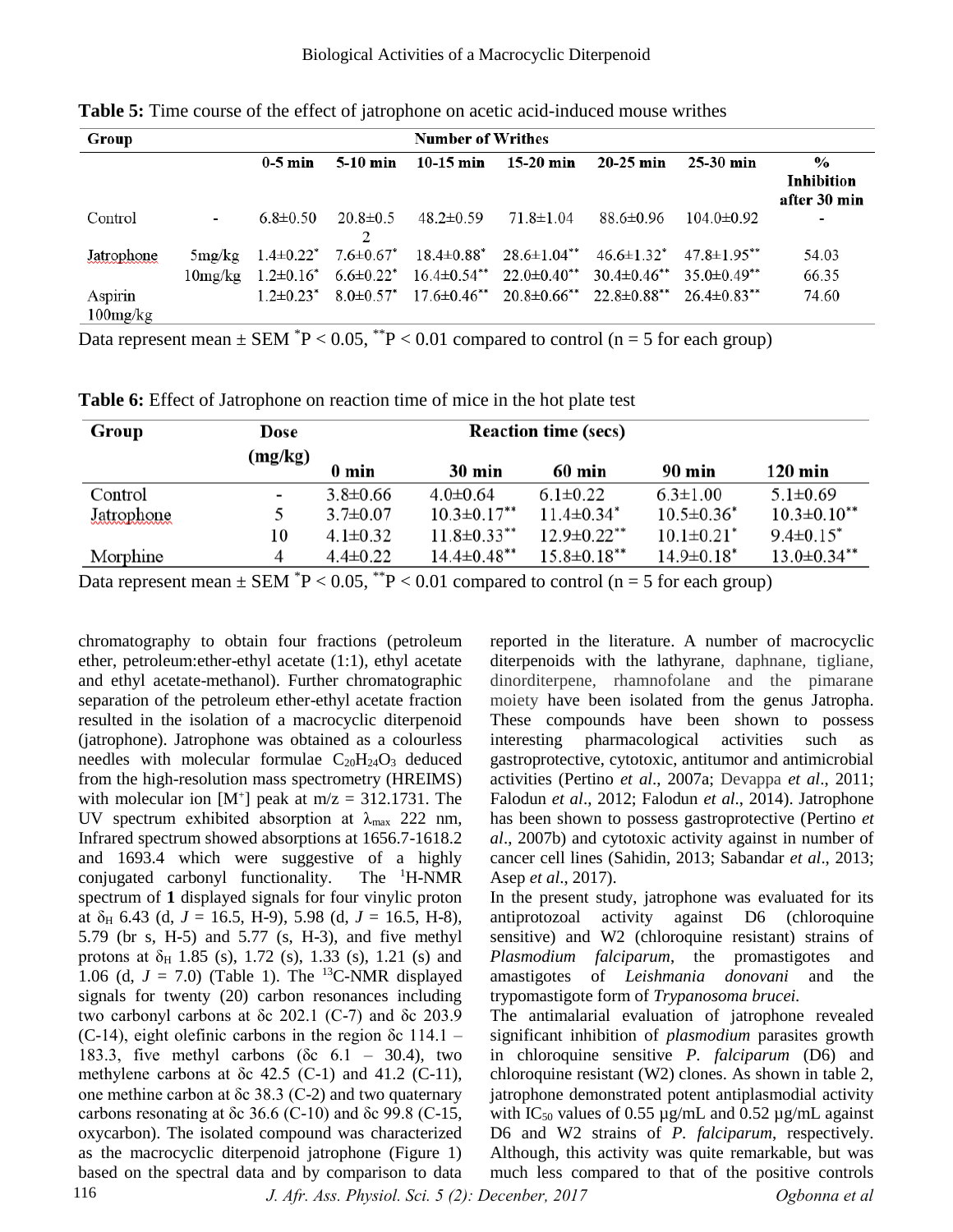| Group                     | <b>Number of Writhes</b> |                |                |                 |                                                                                                                |             |                  |                                                    |  |  |
|---------------------------|--------------------------|----------------|----------------|-----------------|----------------------------------------------------------------------------------------------------------------|-------------|------------------|----------------------------------------------------|--|--|
|                           |                          | $0-5$ min      | $5-10$ min     | $10-15$ min     | $15-20$ min                                                                                                    | $20-25$ min | $25-30$ min      | $\frac{0}{0}$<br><b>Inhibition</b><br>after 30 min |  |  |
| Control                   | $\overline{\phantom{a}}$ | $6.8 \pm 0.50$ | $20.8 \pm 0.5$ | $48.2 \pm 0.59$ | 71.8±1.04                                                                                                      | 88.6±0.96   | $104.0 \pm 0.92$ | $\overline{\phantom{a}}$                           |  |  |
| Jatrophone                | 5mg/kg                   |                |                |                 | $1.4\pm0.22^*$ $7.6\pm0.67^*$ $18.4\pm0.88^*$ $28.6\pm1.04^{**}$ $46.6\pm1.32^*$ $47.8\pm1.95^{**}$            |             |                  | 54.03                                              |  |  |
|                           | 10 <sub>mg</sub> /kg     |                |                |                 | $1.2\pm0.16^*$ 6.6 $\pm0.22^*$ 16.4 $\pm0.54^{**}$ 22.0 $\pm0.40^{**}$ 30.4 $\pm0.46^{**}$ 35.0 $\pm0.49^{**}$ |             |                  | 66.35                                              |  |  |
| Aspirin<br>$100$ mg/ $kg$ |                          |                |                |                 | $1.2\pm0.23^*$ 8.0 $\pm0.57^*$ 17.6 $\pm0.46^{**}$ 20.8 $\pm0.66^{**}$ 22.8 $\pm0.88^{**}$ 26.4 $\pm0.83^{**}$ |             |                  | 74.60                                              |  |  |

**Table 5:** Time course of the effect of jatrophone on acetic acid-induced mouse writhes

Data represent mean  $\pm$  SEM  $^{*}P$  < 0.05,  $^{*}P$  < 0.01 compared to control (n = 5 for each group)

| Group      | Dose                     |                |                    |                              |                              |                    |
|------------|--------------------------|----------------|--------------------|------------------------------|------------------------------|--------------------|
|            | (mg/kg)                  | 0 min          | $30 \text{ min}$   | 60 min                       | 90 min                       | 120 min            |
| Control    | $\overline{\phantom{a}}$ | $3.8 \pm 0.66$ | $4.0 \pm 0.64$     | $6.1 \pm 0.22$               | $6.3 \pm 1.00$               | $5.1 \pm 0.69$     |
| Jatrophone |                          | $3.7 \pm 0.07$ | $10.3 \pm 0.17$ ** | $11.4 \pm 0.34$ <sup>*</sup> | $10.5 \pm 0.36^*$            | $10.3 \pm 0.10$ ** |
|            | 10                       | $4.1 \pm 0.32$ | $11.8 \pm 0.33$ ** | $12.9 \pm 0.22$ **           | $10.1 \pm 0.21$ <sup>*</sup> | $9.4 \pm 0.15^*$   |
| Morphine   | 4                        | $4.4 \pm 0.22$ | $14.4 \pm 0.48$ ** | $15.8 \pm 0.18***$           | $14.9 \pm 0.18$ <sup>*</sup> | $13.0 \pm 0.34$ ** |

Data represent mean  $\pm$  SEM  $^{*}P$  < 0.05,  $^{*}P$  < 0.01 compared to control (n = 5 for each group)

chromatography to obtain four fractions (petroleum ether, petroleum:ether-ethyl acetate (1:1), ethyl acetate and ethyl acetate-methanol). Further chromatographic separation of the petroleum ether-ethyl acetate fraction resulted in the isolation of a macrocyclic diterpenoid (jatrophone). Jatrophone was obtained as a colourless needles with molecular formulae  $C_{20}H_{24}O_3$  deduced from the high-resolution mass spectrometry (HREIMS) with molecular ion  $[M^+]$  peak at m/z = 312.1731. The UV spectrum exhibited absorption at  $\lambda_{\text{max}}$  222 nm, Infrared spectrum showed absorptions at 1656.7-1618.2 and 1693.4 which were suggestive of a highly conjugated carbonyl functionality. The <sup>1</sup>H-NMR spectrum of **1** displayed signals for four vinylic proton at  $\delta$ <sub>H</sub> 6.43 (d, *J* = 16.5, H-9), 5.98 (d, *J* = 16.5, H-8), 5.79 (br s, H-5) and 5.77 (s, H-3), and five methyl protons at  $\delta_H$  1.85 (s), 1.72 (s), 1.33 (s), 1.21 (s) and 1.06 (d,  $J = 7.0$ ) (Table 1). The <sup>13</sup>C-NMR displayed signals for twenty (20) carbon resonances including two carbonyl carbons at δc 202.1 (C-7) and δc 203.9 (C-14), eight olefinic carbons in the region  $\delta c$  114.1 – 183.3, five methyl carbons ( $\delta$ c 6.1 – 30.4), two methylene carbons at  $\delta c$  42.5 (C-1) and 41.2 (C-11), one methine carbon at δc 38.3 (C-2) and two quaternary carbons resonating at  $\delta c$  36.6 (C-10) and  $\delta c$  99.8 (C-15, oxycarbon). The isolated compound was characterized as the macrocyclic diterpenoid jatrophone (Figure 1) based on the spectral data and by comparison to data

reported in the literature. A number of macrocyclic diterpenoids with the lathyrane, daphnane, tigliane, dinorditerpene, rhamnofolane and the pimarane moiety have been isolated from the genus Jatropha. These compounds have been shown to possess interesting pharmacological activities such as gastroprotective, cytotoxic, antitumor and antimicrobial activities (Pertino *et al*., 2007a; Devappa *et al*., 2011; Falodun *et al*., 2012; Falodun *et al*., 2014). Jatrophone has been shown to possess gastroprotective (Pertino *et al*., 2007b) and cytotoxic activity against in number of cancer cell lines (Sahidin, 2013; Sabandar *et al*., 2013; Asep *et al*., 2017).

In the present study, jatrophone was evaluated for its antiprotozoal activity against D6 (chloroquine sensitive) and W2 (chloroquine resistant) strains of *Plasmodium falciparum*, the promastigotes and amastigotes of *Leishmania donovani* and the trypomastigote form of *Trypanosoma brucei.*

The antimalarial evaluation of jatrophone revealed significant inhibition of *plasmodium* parasites growth in chloroquine sensitive *P. falciparum* (D6) and chloroquine resistant (W2) clones. As shown in table 2, jatrophone demonstrated potent antiplasmodial activity with IC<sub>50</sub> values of 0.55  $\mu$ g/mL and 0.52  $\mu$ g/mL against D6 and W2 strains of *P. falciparum*, respectively. Although, this activity was quite remarkable, but was much less compared to that of the positive controls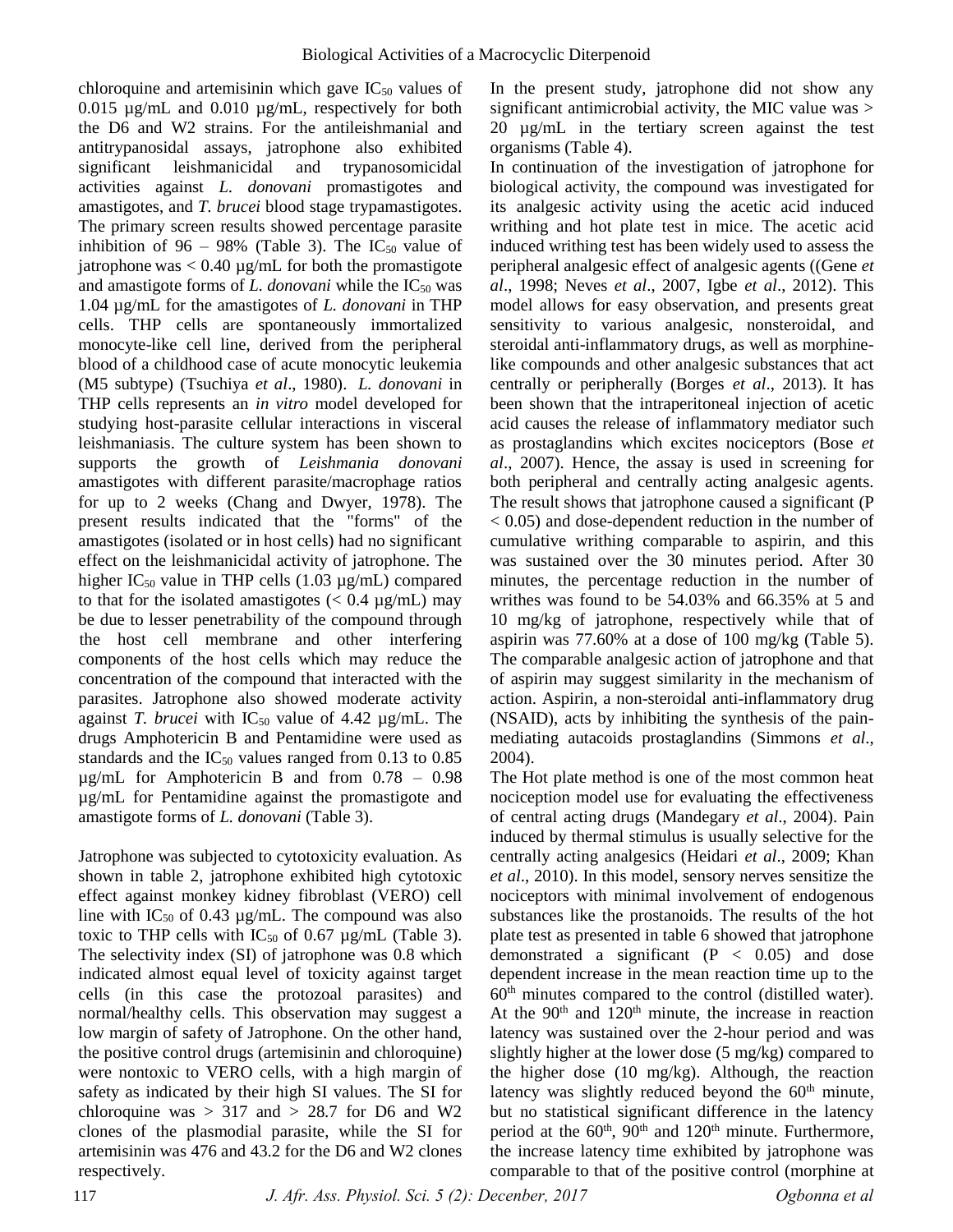chloroquine and artemisinin which gave  $IC_{50}$  values of 0.015 µg/mL and 0.010 µg/mL, respectively for both the D6 and W2 strains. For the antileishmanial and antitrypanosidal assays, jatrophone also exhibited significant leishmanicidal and trypanosomicidal activities against *L. donovani* promastigotes and amastigotes, and *T. brucei* blood stage trypamastigotes. The primary screen results showed percentage parasite inhibition of 96 – 98% (Table 3). The  $IC_{50}$  value of jatrophone was  $< 0.40 \mu g/mL$  for both the promastigote and amastigote forms of *L. donovani* while the IC<sub>50</sub> was 1.04 µg/mL for the amastigotes of *L. donovani* in THP cells. THP cells are spontaneously immortalized monocyte-like cell line, derived from the peripheral blood of a childhood case of acute monocytic leukemia (M5 subtype) (Tsuchiya *et al*., 1980). *L. donovani* in THP cells represents an *in vitro* model developed for studying host-parasite cellular interactions in visceral leishmaniasis. The culture system has been shown to supports the growth of *Leishmania donovani* amastigotes with different parasite/macrophage ratios for up to 2 weeks (Chang and Dwyer, 1978). The present results indicated that the "forms" of the amastigotes (isolated or in host cells) had no significant effect on the leishmanicidal activity of jatrophone. The higher IC<sub>50</sub> value in THP cells  $(1.03 \mu g/mL)$  compared to that for the isolated amastigotes  $(< 0.4 \mu g/mL)$  may be due to lesser penetrability of the compound through components of the host cells which may reduce the concentration of the compound that interacted with the parasites. Jatrophone also showed moderate activity against *T. brucei* with  $IC_{50}$  value of 4.42  $\mu$ g/mL. The drugs Amphotericin B and Pentamidine were used as standards and the  $IC_{50}$  values ranged from 0.13 to 0.85 µg/mL for Amphotericin B and from 0.78 – 0.98 µg/mL for Pentamidine against the promastigote and amastigote forms of *L. donovani* (Table 3). the host cell membrane and other interfering

Jatrophone was subjected to cytotoxicity evaluation. As shown in table 2, jatrophone exhibited high cytotoxic effect against monkey kidney fibroblast (VERO) cell line with IC<sub>50</sub> of 0.43  $\mu$ g/mL. The compound was also toxic to THP cells with  $IC_{50}$  of 0.67  $\mu$ g/mL (Table 3). The selectivity index (SI) of jatrophone was 0.8 which indicated almost equal level of toxicity against target cells (in this case the protozoal parasites) and normal/healthy cells. This observation may suggest a low margin of safety of Jatrophone. On the other hand, the positive control drugs (artemisinin and chloroquine) were nontoxic to VERO cells, with a high margin of safety as indicated by their high SI values. The SI for chloroquine was  $> 317$  and  $> 28.7$  for D6 and W2 clones of the plasmodial parasite, while the SI for artemisinin was 476 and 43.2 for the D6 and W2 clones respectively.

In the present study, jatrophone did not show any significant antimicrobial activity, the MIC value was > 20 µg/mL in the tertiary screen against the test organisms (Table 4).

In continuation of the investigation of jatrophone for biological activity, the compound was investigated for its analgesic activity using the acetic acid induced writhing and hot plate test in mice. The acetic acid induced writhing test has been widely used to assess the peripheral analgesic effect of analgesic agents ((Gene *et al*., 1998; Neves *et al*., 2007, Igbe *et al*., 2012). This model allows for easy observation, and presents great sensitivity to various analgesic, nonsteroidal, and steroidal anti-inflammatory drugs, as well as morphinelike compounds and other analgesic substances that act centrally or peripherally (Borges *et al*., 2013). It has been shown that the intraperitoneal injection of acetic acid causes the release of inflammatory mediator such as prostaglandins which excites nociceptors (Bose *et al*., 2007). Hence, the assay is used in screening for both peripheral and centrally acting analgesic agents. The result shows that jatrophone caused a significant (P < 0.05) and dose-dependent reduction in the number of cumulative writhing comparable to aspirin, and this was sustained over the 30 minutes period. After 30 minutes, the percentage reduction in the number of writhes was found to be 54.03% and 66.35% at 5 and 10 mg/kg of jatrophone, respectively while that of aspirin was 77.60% at a dose of 100 mg/kg (Table 5). The comparable analgesic action of jatrophone and that of aspirin may suggest similarity in the mechanism of action. Aspirin, a non-steroidal anti-inflammatory drug (NSAID), acts by inhibiting the synthesis of the painmediating autacoids prostaglandins (Simmons *et al*., 2004).

The Hot plate method is one of the most common heat nociception model use for evaluating the effectiveness of central acting drugs (Mandegary *et al*., 2004). Pain induced by thermal stimulus is usually selective for the centrally acting analgesics (Heidari *et al*., 2009; Khan *et al*., 2010). In this model, sensory nerves sensitize the nociceptors with minimal involvement of endogenous substances like the prostanoids. The results of the hot plate test as presented in table 6 showed that jatrophone demonstrated a significant  $(P < 0.05)$  and dose dependent increase in the mean reaction time up to the  $60<sup>th</sup>$  minutes compared to the control (distilled water). At the  $90<sup>th</sup>$  and  $120<sup>th</sup>$  minute, the increase in reaction latency was sustained over the 2-hour period and was slightly higher at the lower dose (5 mg/kg) compared to the higher dose (10 mg/kg). Although, the reaction latency was slightly reduced beyond the  $60<sup>th</sup>$  minute, but no statistical significant difference in the latency period at the  $60<sup>th</sup>$ ,  $90<sup>th</sup>$  and  $120<sup>th</sup>$  minute. Furthermore, the increase latency time exhibited by jatrophone was comparable to that of the positive control (morphine at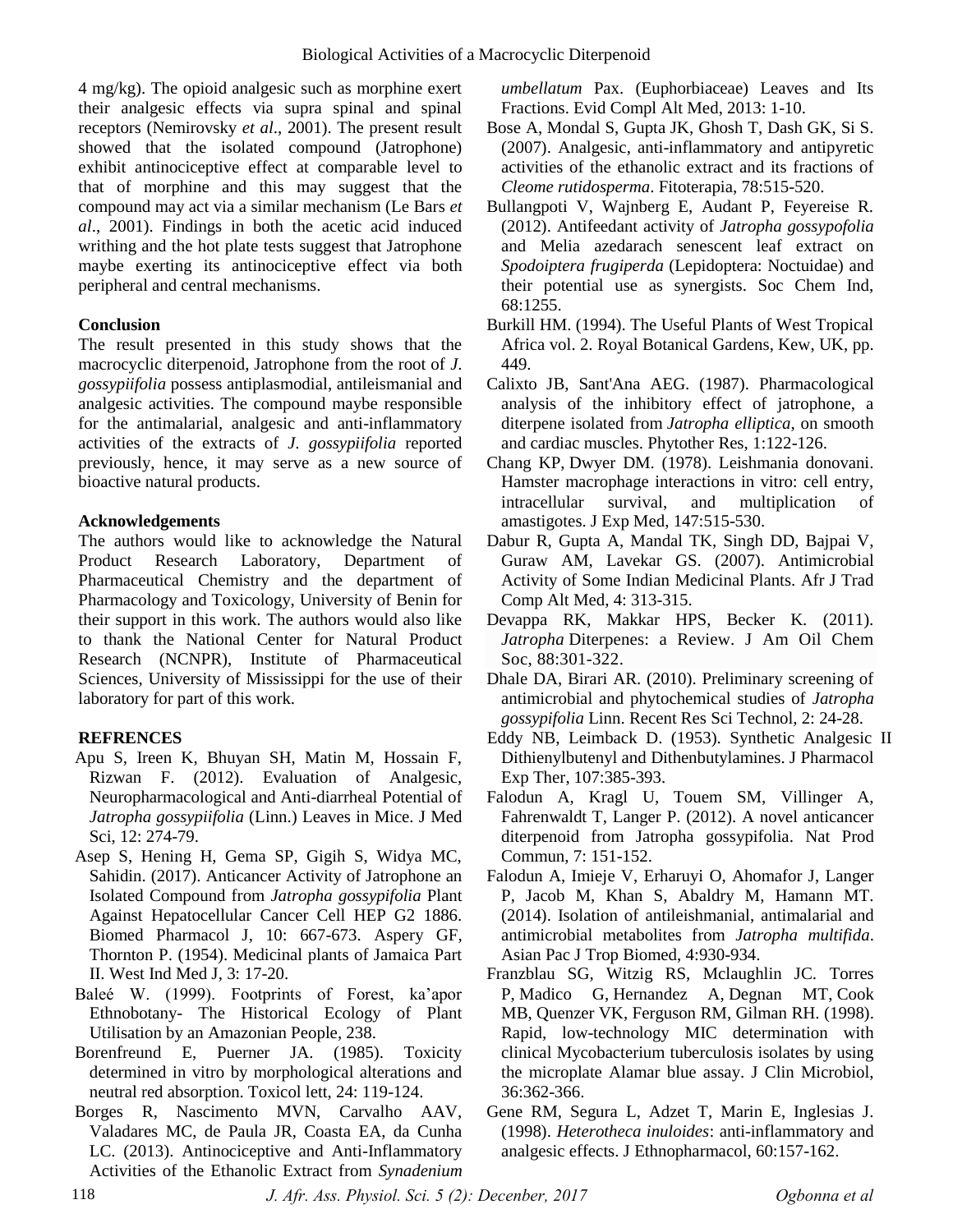4 mg/kg). The opioid analgesic such as morphine exert their analgesic effects via supra spinal and spinal receptors (Nemirovsky *et al*., 2001). The present result showed that the isolated compound (Jatrophone) exhibit antinociceptive effect at comparable level to that of morphine and this may suggest that the compound may act via a similar mechanism (Le Bars *et al*., 2001). Findings in both the acetic acid induced writhing and the hot plate tests suggest that Jatrophone maybe exerting its antinociceptive effect via both peripheral and central mechanisms.

# **Conclusion**

The result presented in this study shows that the macrocyclic diterpenoid, Jatrophone from the root of *J*. *gossypiifolia* possess antiplasmodial, antileismanial and analgesic activities. The compound maybe responsible for the antimalarial, analgesic and anti-inflammatory activities of the extracts of *J. gossypiifolia* reported previously, hence, it may serve as a new source of bioactive natural products.

#### **Acknowledgements**

The authors would like to acknowledge the Natural Product Research Laboratory, Department of Pharmaceutical Chemistry and the department of Pharmacology and Toxicology, University of Benin for their support in this work. The authors would also like to thank the National Center for Natural Product Research (NCNPR), Institute of Pharmaceutical Sciences, University of Mississippi for the use of their laboratory for part of this work.

# **REFRENCES**

- Apu S, Ireen K, Bhuyan SH, Matin M, Hossain F, Rizwan F. (2012). Evaluation of Analgesic, Neuropharmacological and Anti-diarrheal Potential of *Jatropha gossypiifolia* (Linn.) Leaves in Mice. J Med Sci, 12: 274-79.
- Asep S, Hening H, Gema SP, Gigih S, Widya MC, Sahidin. (2017). Anticancer Activity of Jatrophone an Isolated Compound from *Jatropha gossypifolia* Plant Against Hepatocellular Cancer Cell HEP G2 1886. Biomed Pharmacol J, 10: 667-673. Aspery GF, Thornton P. (1954). Medicinal plants of Jamaica Part II. West Ind Med J, 3: 17-20.
- Baleé W. (1999). Footprints of Forest, ka'apor Ethnobotany- The Historical Ecology of Plant Utilisation by an Amazonian People, 238.
- Borenfreund E, Puerner JA. (1985). Toxicity determined in vitro by morphological alterations and neutral red absorption. Toxicol lett, 24: 119-124.
- Borges R, Nascimento MVN, Carvalho AAV, Valadares MC, de Paula JR, Coasta EA, da Cunha LC. (2013). Antinociceptive and Anti-Inflammatory Activities of the Ethanolic Extract from *Synadenium*

*umbellatum* Pax. (Euphorbiaceae) Leaves and Its Fractions. Evid Compl Alt Med, 2013: 1-10.

- Bose A, Mondal S, Gupta JK, Ghosh T, Dash GK, Si S. (2007). Analgesic, anti-inflammatory and antipyretic activities of the ethanolic extract and its fractions of *Cleome rutidosperma*. Fitoterapia, 78:515-520.
- Bullangpoti V, Wajnberg E, Audant P, Feyereise R. (2012). Antifeedant activity of *Jatropha gossypofolia* and Melia azedarach senescent leaf extract on *Spodoiptera frugiperda* (Lepidoptera: Noctuidae) and their potential use as synergists. Soc Chem Ind, 68:1255.
- Burkill HM. (1994). The Useful Plants of West Tropical Africa vol. 2. Royal Botanical Gardens, Kew, UK, pp. 449.
- Calixto JB, Sant'Ana AEG. (1987). Pharmacological analysis of the inhibitory effect of jatrophone, a diterpene isolated from *Jatropha elliptica*, on smooth and cardiac muscles. Phytother Res, 1:122-126.
- Chang KP, Dwyer DM. (1978). Leishmania donovani. Hamster macrophage interactions in vitro: cell entry, intracellular survival, and multiplication of amastigotes. J Exp Med, 147:515-530.
- Dabur R, Gupta A, Mandal TK, Singh DD, Bajpai V, Guraw AM, Lavekar GS. (2007). Antimicrobial Activity of Some Indian Medicinal Plants. Afr J Trad Comp Alt Med, 4: 313-315.
- Devappa RK, Makkar HPS, Becker K*.* (2011)*. Jatropha* Diterpenes: a Review. J Am Oil Chem Soc, 88:301-322.
- Dhale DA, Birari AR. (2010). Preliminary screening of antimicrobial and phytochemical studies of *Jatropha gossypifolia* Linn. Recent Res Sci Technol, 2: 24-28.
- Dithienylbutenyl and Dithenbutylamines. J Pharmacol Exp Ther, 107:385-393. Eddy NB, Leimback D. (1953). Synthetic Analgesic II
- Falodun A, Kragl U, Touem SM, Villinger A, Fahrenwaldt T, Langer P. (2012). A novel anticancer diterpenoid from Jatropha gossypifolia. Nat Prod Commun, 7: 151-152.
- Falodun A, Imieje V, Erharuyi O, Ahomafor J, Langer P, Jacob M, Khan S, Abaldry M, Hamann MT. (2014). Isolation of antileishmanial, antimalarial and antimicrobial metabolites from *Jatropha multifida*. Asian Pac J Trop Biomed, 4:930-934.
- Franzblau SG, Witzig RS, Mclaughlin JC. Torres P, Madico G, Hernandez A, Degnan MT, Cook MB, Quenzer VK, Ferguson RM, Gilman RH. (1998). Rapid, low-technology MIC determination with clinical Mycobacterium tuberculosis isolates by using the microplate Alamar blue assay. J Clin Microbiol, 36:362-366.
- Gene RM, Segura L, Adzet T, Marin E, Inglesias J. (1998). *Heterotheca inuloides*: anti-inflammatory and analgesic effects. J Ethnopharmacol, 60:157-162.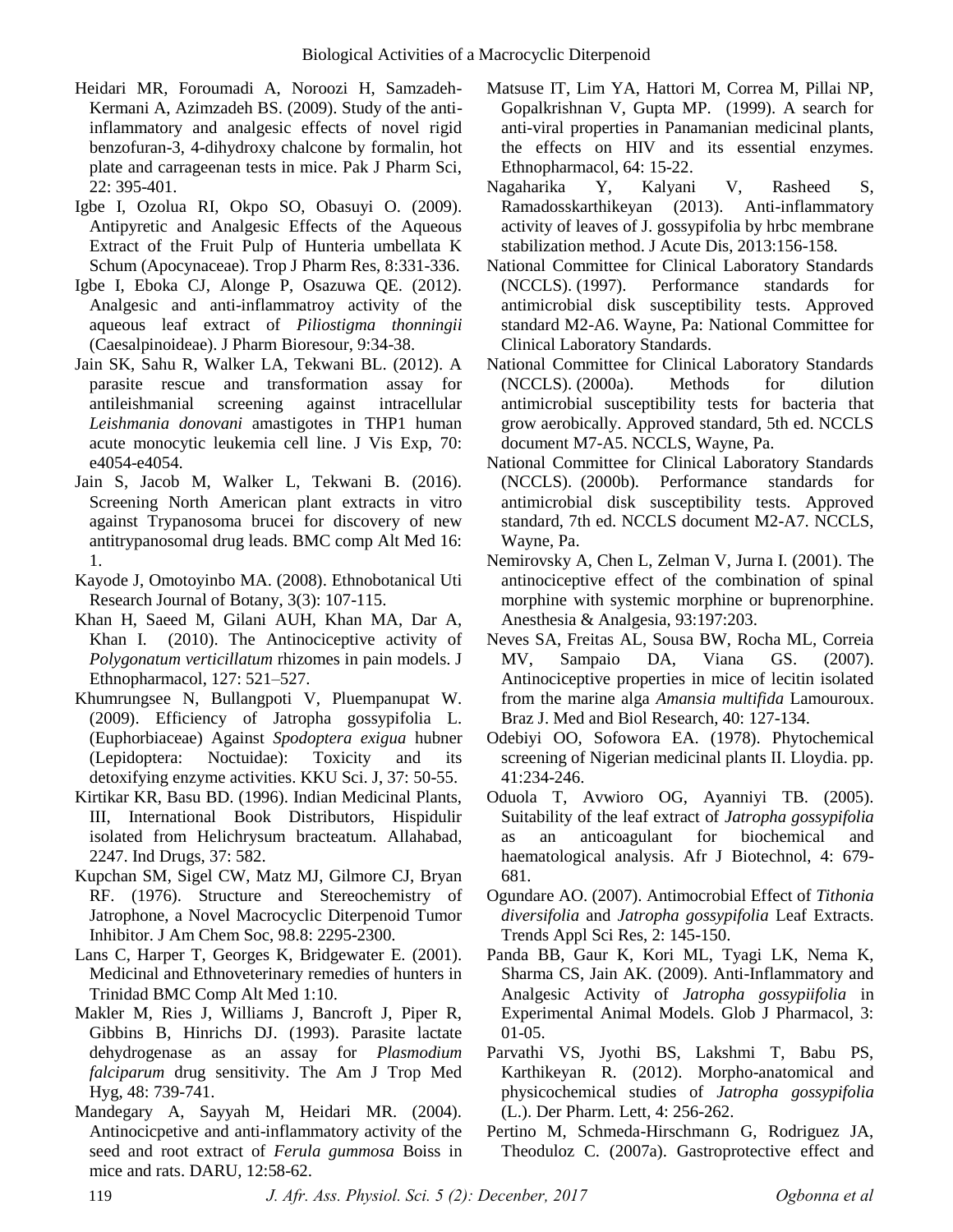- Heidari MR, Foroumadi A, Noroozi H, Samzadeh-Kermani A, Azimzadeh BS. (2009). Study of the antiinflammatory and analgesic effects of novel rigid benzofuran-3, 4-dihydroxy chalcone by formalin, hot plate and carrageenan tests in mice. Pak J Pharm Sci, 22: 395-401.
- Igbe I, Ozolua RI, Okpo SO, Obasuyi O. (2009). Antipyretic and Analgesic Effects of the Aqueous Extract of the Fruit Pulp of Hunteria umbellata K Schum (Apocynaceae). Trop J Pharm Res, 8:331-336.
- Igbe I, Eboka CJ, Alonge P, Osazuwa QE. (2012). Analgesic and anti-inflammatroy activity of the aqueous leaf extract of *Piliostigma thonningii*  (Caesalpinoideae). J Pharm Bioresour, 9:34-38.
- Jain SK, Sahu R, Walker LA, Tekwani BL. (2012). A parasite rescue and transformation assay for antileishmanial screening against intracellular *Leishmania donovani* amastigotes in THP1 human acute monocytic leukemia cell line. J Vis Exp, 70: e4054-e4054.
- Jain S, Jacob M, Walker L, Tekwani B. (2016). Screening North American plant extracts in vitro against Trypanosoma brucei for discovery of new antitrypanosomal drug leads. BMC comp Alt Med 16: 1.
- Kayode J, Omotoyinbo MA. (2008). Ethnobotanical Uti Research Journal of Botany, 3(3): 107-115.
- Khan H, Saeed M, Gilani AUH, Khan MA, Dar A, Khan I. (2010). The Antinociceptive activity of *Polygonatum verticillatum* rhizomes in pain models. J Ethnopharmacol, 127: 521–527.
- Khumrungsee N, Bullangpoti V, Pluempanupat W. (2009). Efficiency of Jatropha gossypifolia L. (Euphorbiaceae) Against *Spodoptera exigua* hubner (Lepidoptera: Noctuidae): Toxicity and its detoxifying enzyme activities. KKU Sci. J, 37: 50-55.
- Kirtikar KR, Basu BD. (1996). Indian Medicinal Plants, III, International Book Distributors, Hispidulir isolated from Helichrysum bracteatum. Allahabad, 2247. Ind Drugs, 37: 582.
- Kupchan SM, Sigel CW, Matz MJ, Gilmore CJ, Bryan RF. (1976). Structure and Stereochemistry of Jatrophone, a Novel Macrocyclic Diterpenoid Tumor Inhibitor. J Am Chem Soc, 98.8: 2295-2300.
- Lans C, Harper T, Georges K, Bridgewater E. (2001). Medicinal and Ethnoveterinary remedies of hunters in Trinidad BMC Comp Alt Med 1:10.
- Makler M, Ries J, Williams J, Bancroft J, Piper R, Gibbins B, Hinrichs DJ. (1993). Parasite lactate dehydrogenase as an assay for *Plasmodium falciparum* drug sensitivity. The Am J Trop Med Hyg, 48: 739-741.
- Mandegary A, Sayyah M, Heidari MR. (2004). Antinocicpetive and anti-inflammatory activity of the seed and root extract of *Ferula gummosa* Boiss in mice and rats. DARU, 12:58-62.
- Matsuse IT, Lim YA, Hattori M, Correa M, Pillai NP, Gopalkrishnan V, Gupta MP. (1999). A search for anti-viral properties in Panamanian medicinal plants, the effects on HIV and its essential enzymes. Ethnopharmacol, 64: 15-22.
- Nagaharika Y, Kalyani V, Rasheed S, Ramadosskarthikeyan (2013). Anti-inflammatory activity of leaves of J. gossypifolia by hrbc membrane stabilization method. J Acute Dis, 2013:156-158.
- National Committee for Clinical Laboratory Standards (NCCLS). (1997). Performance standards for antimicrobial disk susceptibility tests. Approved standard M2-A6. Wayne, Pa: National Committee for Clinical Laboratory Standards.
- National Committee for Clinical Laboratory Standards (NCCLS). (2000a). Methods for dilution antimicrobial susceptibility tests for bacteria that grow aerobically. Approved standard, 5th ed. NCCLS document M7-A5. NCCLS, Wayne, Pa.
- National Committee for Clinical Laboratory Standards (NCCLS). (2000b). Performance standards for antimicrobial disk susceptibility tests. Approved standard, 7th ed. NCCLS document M2-A7. NCCLS, Wayne, Pa.
- Nemirovsky A, Chen L, Zelman V, Jurna I. (2001). The antinociceptive effect of the combination of spinal morphine with systemic morphine or buprenorphine. Anesthesia & Analgesia, 93:197:203.
- Neves SA, Freitas AL, Sousa BW, Rocha ML, Correia MV, Sampaio DA, Viana GS. (2007). Antinociceptive properties in mice of lecitin isolated from the marine alga *Amansia multifida* Lamouroux. Braz J. Med and Biol Research, 40: 127-134.
- Odebiyi OO, Sofowora EA. (1978). Phytochemical screening of Nigerian medicinal plants II. Lloydia. pp. 41:234-246.
- Oduola T, Avwioro OG, Ayanniyi TB. (2005). Suitability of the leaf extract of *Jatropha gossypifolia* as an anticoagulant for biochemical and haematological analysis. Afr J Biotechnol, 4: 679- 681.
- Ogundare AO. (2007). Antimocrobial Effect of *Tithonia diversifolia* and *Jatropha gossypifolia* Leaf Extracts. Trends Appl Sci Res, 2: 145-150.
- Panda BB, Gaur K, Kori ML, Tyagi LK, Nema K, Sharma CS, Jain AK. (2009). Anti-Inflammatory and Analgesic Activity of *Jatropha gossypiifolia* in Experimental Animal Models. Glob J Pharmacol, 3: 01-05.
- Parvathi VS, Jyothi BS, Lakshmi T, Babu PS, Karthikeyan R. (2012). Morpho-anatomical and physicochemical studies of *Jatropha gossypifolia* (L.). Der Pharm. Lett, 4: 256-262.
- Pertino M, Schmeda-Hirschmann G, Rodriguez JA, Theoduloz C. (2007a). Gastroprotective effect and